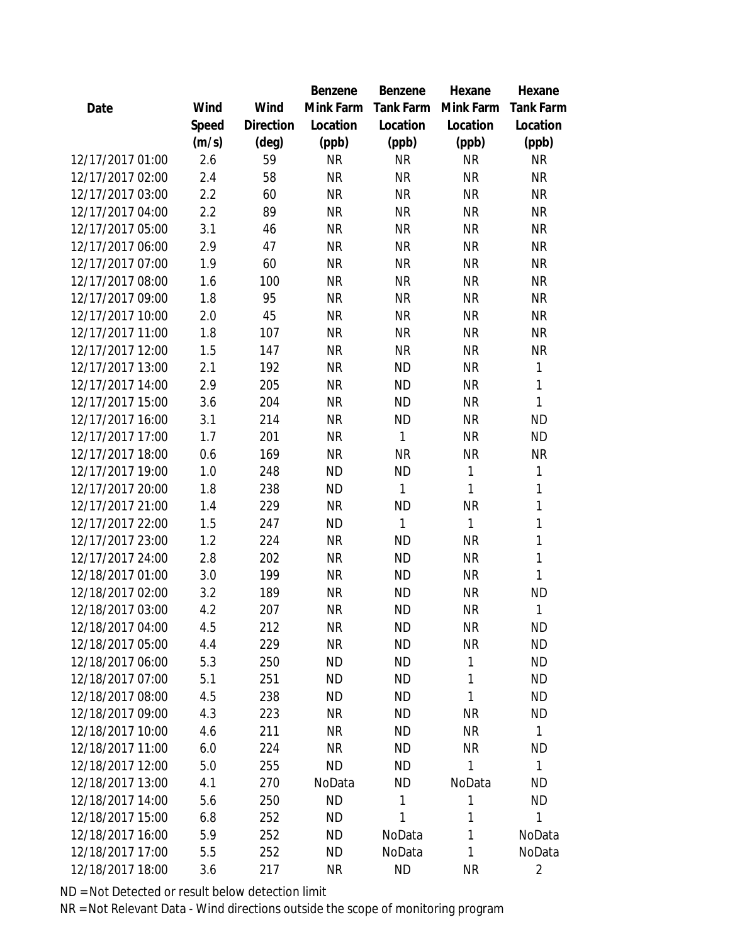|                  |       |                | <b>Benzene</b> | Benzene   | Hexane    | Hexane         |
|------------------|-------|----------------|----------------|-----------|-----------|----------------|
| Date             | Wind  | Wind           | Mink Farm      | Tank Farm | Mink Farm | Tank Farm      |
|                  | Speed | Direction      | Location       | Location  | Location  | Location       |
|                  | (m/s) | $(\text{deg})$ | (ppb)          | (ppb)     | (ppb)     | (ppb)          |
| 12/17/2017 01:00 | 2.6   | 59             | <b>NR</b>      | <b>NR</b> | <b>NR</b> | <b>NR</b>      |
| 12/17/2017 02:00 | 2.4   | 58             | <b>NR</b>      | <b>NR</b> | <b>NR</b> | <b>NR</b>      |
| 12/17/2017 03:00 | 2.2   | 60             | <b>NR</b>      | <b>NR</b> | <b>NR</b> | <b>NR</b>      |
| 12/17/2017 04:00 | 2.2   | 89             | <b>NR</b>      | <b>NR</b> | <b>NR</b> | <b>NR</b>      |
| 12/17/2017 05:00 | 3.1   | 46             | <b>NR</b>      | <b>NR</b> | <b>NR</b> | <b>NR</b>      |
| 12/17/2017 06:00 | 2.9   | 47             | <b>NR</b>      | <b>NR</b> | <b>NR</b> | <b>NR</b>      |
| 12/17/2017 07:00 | 1.9   | 60             | <b>NR</b>      | <b>NR</b> | <b>NR</b> | <b>NR</b>      |
| 12/17/2017 08:00 | 1.6   | 100            | <b>NR</b>      | <b>NR</b> | <b>NR</b> | <b>NR</b>      |
| 12/17/2017 09:00 | 1.8   | 95             | <b>NR</b>      | <b>NR</b> | <b>NR</b> | <b>NR</b>      |
| 12/17/2017 10:00 | 2.0   | 45             | <b>NR</b>      | <b>NR</b> | <b>NR</b> | <b>NR</b>      |
| 12/17/2017 11:00 | 1.8   | 107            | <b>NR</b>      | <b>NR</b> | <b>NR</b> | <b>NR</b>      |
| 12/17/2017 12:00 | 1.5   | 147            | <b>NR</b>      | <b>NR</b> | <b>NR</b> | <b>NR</b>      |
| 12/17/2017 13:00 | 2.1   | 192            | <b>NR</b>      | <b>ND</b> | <b>NR</b> | 1              |
| 12/17/2017 14:00 | 2.9   | 205            | <b>NR</b>      | <b>ND</b> | <b>NR</b> | $\mathbf{1}$   |
| 12/17/2017 15:00 | 3.6   | 204            | <b>NR</b>      | <b>ND</b> | <b>NR</b> | $\mathbf{1}$   |
| 12/17/2017 16:00 | 3.1   | 214            | <b>NR</b>      | <b>ND</b> | <b>NR</b> | <b>ND</b>      |
| 12/17/2017 17:00 | 1.7   | 201            | <b>NR</b>      | 1         | <b>NR</b> | <b>ND</b>      |
| 12/17/2017 18:00 | 0.6   | 169            | <b>NR</b>      | <b>NR</b> | <b>NR</b> | <b>NR</b>      |
| 12/17/2017 19:00 | 1.0   | 248            | <b>ND</b>      | <b>ND</b> | 1         | 1              |
| 12/17/2017 20:00 | 1.8   | 238            | <b>ND</b>      | 1         | 1         | 1              |
| 12/17/2017 21:00 | 1.4   | 229            | <b>NR</b>      | <b>ND</b> | <b>NR</b> | $\mathbf{1}$   |
| 12/17/2017 22:00 | 1.5   | 247            | <b>ND</b>      | 1         | 1         | $\mathbf{1}$   |
| 12/17/2017 23:00 | 1.2   | 224            | <b>NR</b>      | <b>ND</b> | <b>NR</b> | $\mathbf{1}$   |
| 12/17/2017 24:00 | 2.8   | 202            | <b>NR</b>      | <b>ND</b> | <b>NR</b> | $\mathbf{1}$   |
| 12/18/2017 01:00 | 3.0   | 199            | <b>NR</b>      | <b>ND</b> | <b>NR</b> | 1              |
| 12/18/2017 02:00 | 3.2   | 189            | <b>NR</b>      | <b>ND</b> | <b>NR</b> | <b>ND</b>      |
| 12/18/2017 03:00 | 4.2   | 207            | <b>NR</b>      | <b>ND</b> | <b>NR</b> | 1              |
| 12/18/2017 04:00 | 4.5   | 212            | <b>NR</b>      | <b>ND</b> | <b>NR</b> | <b>ND</b>      |
| 12/18/2017 05:00 | 4.4   | 229            | <b>NR</b>      | <b>ND</b> | <b>NR</b> | <b>ND</b>      |
| 12/18/2017 06:00 | 5.3   | 250            | <b>ND</b>      | <b>ND</b> | 1         | <b>ND</b>      |
| 12/18/2017 07:00 | 5.1   | 251            | ND             | ND        | 1         | <b>ND</b>      |
| 12/18/2017 08:00 | 4.5   | 238            | <b>ND</b>      | <b>ND</b> | 1         | <b>ND</b>      |
| 12/18/2017 09:00 | 4.3   | 223            | <b>NR</b>      | <b>ND</b> | <b>NR</b> | <b>ND</b>      |
| 12/18/2017 10:00 | 4.6   | 211            | <b>NR</b>      | <b>ND</b> | <b>NR</b> | 1              |
| 12/18/2017 11:00 | 6.0   | 224            | <b>NR</b>      | <b>ND</b> | <b>NR</b> | <b>ND</b>      |
| 12/18/2017 12:00 | 5.0   | 255            | <b>ND</b>      | ND        | 1         | 1              |
| 12/18/2017 13:00 | 4.1   | 270            | NoData         | <b>ND</b> | NoData    | <b>ND</b>      |
| 12/18/2017 14:00 | 5.6   | 250            | <b>ND</b>      | 1         | 1         | <b>ND</b>      |
| 12/18/2017 15:00 | 6.8   | 252            | <b>ND</b>      | 1         | 1         | 1              |
| 12/18/2017 16:00 | 5.9   | 252            | <b>ND</b>      | NoData    | 1         | NoData         |
| 12/18/2017 17:00 | 5.5   | 252            | <b>ND</b>      | NoData    | 1         | NoData         |
| 12/18/2017 18:00 | 3.6   | 217            | <b>NR</b>      | <b>ND</b> | <b>NR</b> | $\overline{2}$ |
|                  |       |                |                |           |           |                |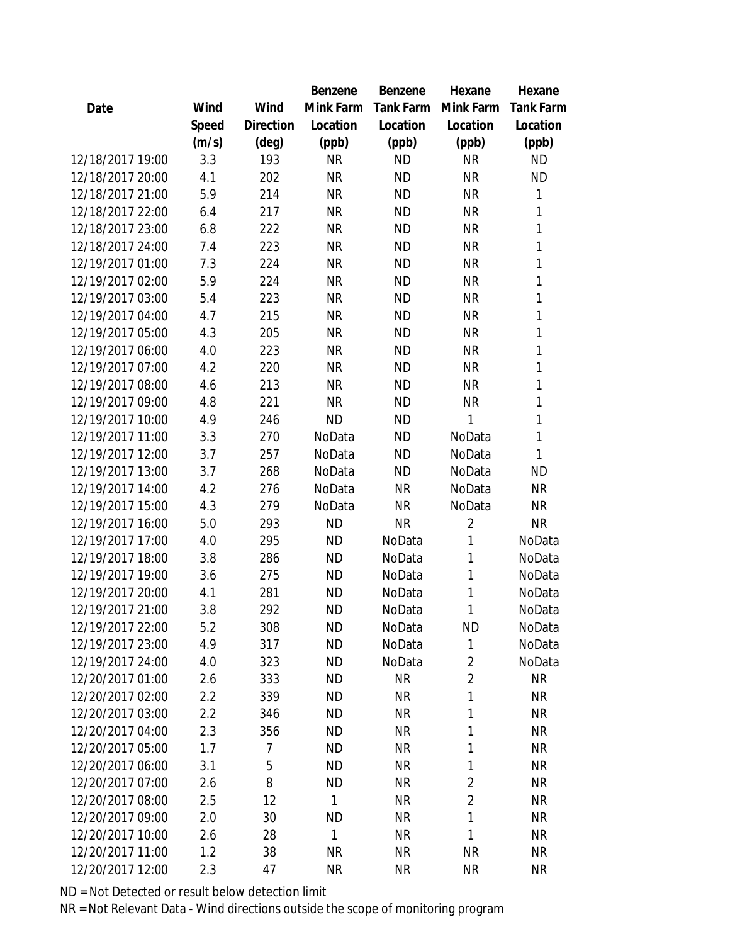|                  |       |                | <b>Benzene</b> | Benzene   | Hexane         | Hexane    |
|------------------|-------|----------------|----------------|-----------|----------------|-----------|
| Date             | Wind  | Wind           | Mink Farm      | Tank Farm | Mink Farm      | Tank Farm |
|                  | Speed | Direction      | Location       | Location  | Location       | Location  |
|                  | (m/s) | $(\text{deg})$ | (ppb)          | (ppb)     | (ppb)          | (ppb)     |
| 12/18/2017 19:00 | 3.3   | 193            | <b>NR</b>      | <b>ND</b> | <b>NR</b>      | <b>ND</b> |
| 12/18/2017 20:00 | 4.1   | 202            | <b>NR</b>      | <b>ND</b> | <b>NR</b>      | <b>ND</b> |
| 12/18/2017 21:00 | 5.9   | 214            | <b>NR</b>      | <b>ND</b> | <b>NR</b>      | 1         |
| 12/18/2017 22:00 | 6.4   | 217            | <b>NR</b>      | <b>ND</b> | <b>NR</b>      | 1         |
| 12/18/2017 23:00 | 6.8   | 222            | <b>NR</b>      | <b>ND</b> | <b>NR</b>      | 1         |
| 12/18/2017 24:00 | 7.4   | 223            | <b>NR</b>      | <b>ND</b> | <b>NR</b>      | 1         |
| 12/19/2017 01:00 | 7.3   | 224            | <b>NR</b>      | <b>ND</b> | <b>NR</b>      | 1         |
| 12/19/2017 02:00 | 5.9   | 224            | <b>NR</b>      | <b>ND</b> | <b>NR</b>      | 1         |
| 12/19/2017 03:00 | 5.4   | 223            | <b>NR</b>      | <b>ND</b> | <b>NR</b>      | 1         |
| 12/19/2017 04:00 | 4.7   | 215            | <b>NR</b>      | <b>ND</b> | <b>NR</b>      | 1         |
| 12/19/2017 05:00 | 4.3   | 205            | <b>NR</b>      | <b>ND</b> | <b>NR</b>      | 1         |
| 12/19/2017 06:00 | 4.0   | 223            | <b>NR</b>      | <b>ND</b> | <b>NR</b>      | 1         |
| 12/19/2017 07:00 | 4.2   | 220            | <b>NR</b>      | <b>ND</b> | <b>NR</b>      | 1         |
| 12/19/2017 08:00 | 4.6   | 213            | <b>NR</b>      | <b>ND</b> | <b>NR</b>      | 1         |
| 12/19/2017 09:00 | 4.8   | 221            | <b>NR</b>      | <b>ND</b> | <b>NR</b>      | 1         |
| 12/19/2017 10:00 | 4.9   | 246            | <b>ND</b>      | <b>ND</b> | 1              | 1         |
| 12/19/2017 11:00 | 3.3   | 270            | NoData         | <b>ND</b> | NoData         | 1         |
| 12/19/2017 12:00 | 3.7   | 257            | NoData         | <b>ND</b> | NoData         | 1         |
| 12/19/2017 13:00 | 3.7   | 268            | NoData         | <b>ND</b> | NoData         | <b>ND</b> |
| 12/19/2017 14:00 | 4.2   | 276            | NoData         | <b>NR</b> | NoData         | <b>NR</b> |
| 12/19/2017 15:00 | 4.3   | 279            | NoData         | <b>NR</b> | NoData         | <b>NR</b> |
| 12/19/2017 16:00 | 5.0   | 293            | <b>ND</b>      | <b>NR</b> | $\overline{2}$ | <b>NR</b> |
| 12/19/2017 17:00 | 4.0   | 295            | <b>ND</b>      | NoData    | 1              | NoData    |
| 12/19/2017 18:00 | 3.8   | 286            | <b>ND</b>      | NoData    | 1              | NoData    |
| 12/19/2017 19:00 | 3.6   | 275            | <b>ND</b>      | NoData    | 1              | NoData    |
| 12/19/2017 20:00 | 4.1   | 281            | <b>ND</b>      | NoData    | 1              | NoData    |
| 12/19/2017 21:00 | 3.8   | 292            | <b>ND</b>      | NoData    | 1              | NoData    |
| 12/19/2017 22:00 | 5.2   | 308            | <b>ND</b>      | NoData    | <b>ND</b>      | NoData    |
| 12/19/2017 23:00 | 4.9   | 317            | <b>ND</b>      | NoData    | 1              | NoData    |
| 12/19/2017 24:00 | 4.0   | 323            | <b>ND</b>      | NoData    | $\overline{2}$ | NoData    |
| 12/20/2017 01:00 | 2.6   | 333            | <b>ND</b>      | <b>NR</b> | $\overline{2}$ | <b>NR</b> |
| 12/20/2017 02:00 | 2.2   | 339            | <b>ND</b>      | <b>NR</b> | 1              | <b>NR</b> |
| 12/20/2017 03:00 | 2.2   | 346            | <b>ND</b>      | <b>NR</b> | 1              | <b>NR</b> |
| 12/20/2017 04:00 | 2.3   | 356            | <b>ND</b>      | <b>NR</b> | 1              | <b>NR</b> |
| 12/20/2017 05:00 | 1.7   | 7              | <b>ND</b>      | <b>NR</b> | 1              | <b>NR</b> |
| 12/20/2017 06:00 | 3.1   | 5              | <b>ND</b>      | <b>NR</b> | 1              | <b>NR</b> |
| 12/20/2017 07:00 | 2.6   | 8              | <b>ND</b>      | <b>NR</b> | $\overline{2}$ | <b>NR</b> |
| 12/20/2017 08:00 | 2.5   | 12             | $\mathbf{1}$   | <b>NR</b> | $\overline{2}$ | <b>NR</b> |
| 12/20/2017 09:00 | 2.0   | 30             | <b>ND</b>      | <b>NR</b> | 1              | <b>NR</b> |
| 12/20/2017 10:00 | 2.6   | 28             | $\mathbf{1}$   | NR        | 1              | <b>NR</b> |
| 12/20/2017 11:00 | 1.2   | 38             | <b>NR</b>      | <b>NR</b> | NR             | <b>NR</b> |
| 12/20/2017 12:00 | 2.3   | 47             | <b>NR</b>      | <b>NR</b> | <b>NR</b>      | <b>NR</b> |
|                  |       |                |                |           |                |           |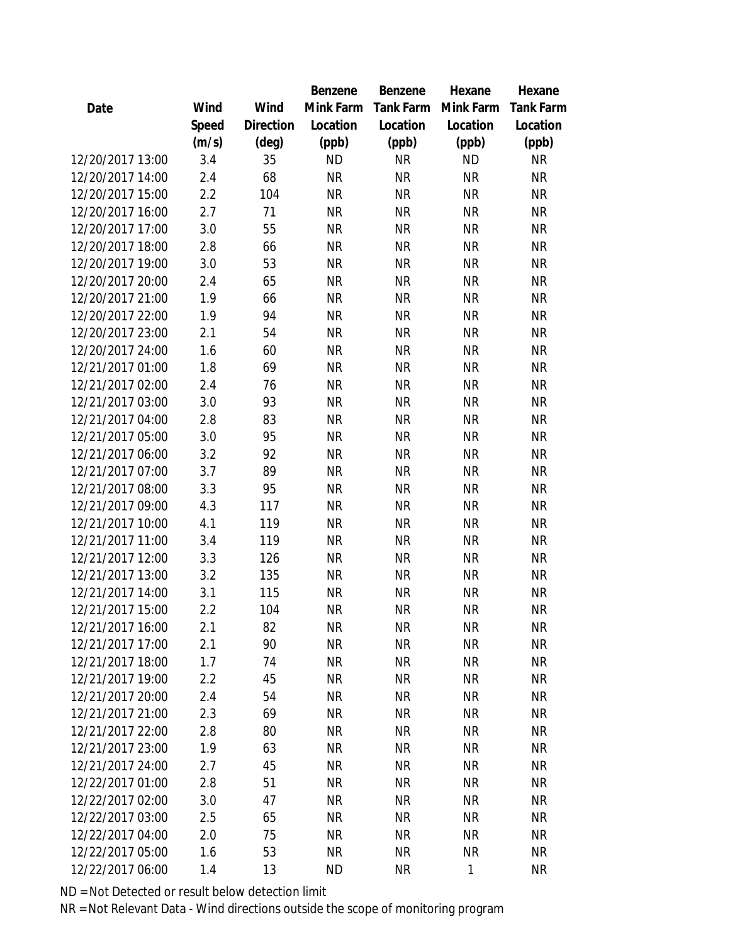|                  |       |                | Benzene   | Benzene   | Hexane    | Hexane           |
|------------------|-------|----------------|-----------|-----------|-----------|------------------|
| Date             | Wind  | Wind           | Mink Farm | Tank Farm | Mink Farm | <b>Tank Farm</b> |
|                  | Speed | Direction      | Location  | Location  | Location  | Location         |
|                  | (m/s) | $(\text{deg})$ | (ppb)     | (ppb)     | (ppb)     | (ppb)            |
| 12/20/2017 13:00 | 3.4   | 35             | <b>ND</b> | <b>NR</b> | <b>ND</b> | <b>NR</b>        |
| 12/20/2017 14:00 | 2.4   | 68             | <b>NR</b> | <b>NR</b> | <b>NR</b> | <b>NR</b>        |
| 12/20/2017 15:00 | 2.2   | 104            | <b>NR</b> | <b>NR</b> | <b>NR</b> | <b>NR</b>        |
| 12/20/2017 16:00 | 2.7   | 71             | <b>NR</b> | <b>NR</b> | <b>NR</b> | <b>NR</b>        |
| 12/20/2017 17:00 | 3.0   | 55             | <b>NR</b> | <b>NR</b> | <b>NR</b> | <b>NR</b>        |
| 12/20/2017 18:00 | 2.8   | 66             | <b>NR</b> | <b>NR</b> | <b>NR</b> | <b>NR</b>        |
| 12/20/2017 19:00 | 3.0   | 53             | <b>NR</b> | <b>NR</b> | <b>NR</b> | <b>NR</b>        |
| 12/20/2017 20:00 | 2.4   | 65             | <b>NR</b> | <b>NR</b> | <b>NR</b> | <b>NR</b>        |
| 12/20/2017 21:00 | 1.9   | 66             | <b>NR</b> | <b>NR</b> | <b>NR</b> | <b>NR</b>        |
| 12/20/2017 22:00 | 1.9   | 94             | <b>NR</b> | <b>NR</b> | <b>NR</b> | <b>NR</b>        |
| 12/20/2017 23:00 | 2.1   | 54             | <b>NR</b> | <b>NR</b> | <b>NR</b> | <b>NR</b>        |
| 12/20/2017 24:00 | 1.6   | 60             | <b>NR</b> | <b>NR</b> | <b>NR</b> | <b>NR</b>        |
| 12/21/2017 01:00 | 1.8   | 69             | <b>NR</b> | <b>NR</b> | <b>NR</b> | <b>NR</b>        |
| 12/21/2017 02:00 | 2.4   | 76             | <b>NR</b> | <b>NR</b> | <b>NR</b> | <b>NR</b>        |
| 12/21/2017 03:00 | 3.0   | 93             | <b>NR</b> | <b>NR</b> | <b>NR</b> | <b>NR</b>        |
| 12/21/2017 04:00 | 2.8   | 83             | <b>NR</b> | <b>NR</b> | <b>NR</b> | <b>NR</b>        |
| 12/21/2017 05:00 | 3.0   | 95             | <b>NR</b> | <b>NR</b> | <b>NR</b> | <b>NR</b>        |
| 12/21/2017 06:00 | 3.2   | 92             | <b>NR</b> | <b>NR</b> | <b>NR</b> | <b>NR</b>        |
| 12/21/2017 07:00 | 3.7   | 89             | <b>NR</b> | <b>NR</b> | <b>NR</b> | <b>NR</b>        |
| 12/21/2017 08:00 | 3.3   | 95             | <b>NR</b> | <b>NR</b> | <b>NR</b> | NR               |
| 12/21/2017 09:00 | 4.3   | 117            | <b>NR</b> | <b>NR</b> | <b>NR</b> | <b>NR</b>        |
| 12/21/2017 10:00 | 4.1   | 119            | <b>NR</b> | <b>NR</b> | <b>NR</b> | <b>NR</b>        |
| 12/21/2017 11:00 | 3.4   | 119            | <b>NR</b> | <b>NR</b> | <b>NR</b> | <b>NR</b>        |
| 12/21/2017 12:00 | 3.3   | 126            | <b>NR</b> | <b>NR</b> | <b>NR</b> | <b>NR</b>        |
| 12/21/2017 13:00 | 3.2   | 135            | <b>NR</b> | <b>NR</b> | <b>NR</b> | <b>NR</b>        |
| 12/21/2017 14:00 | 3.1   | 115            | <b>NR</b> | <b>NR</b> | <b>NR</b> | NR               |
| 12/21/2017 15:00 | 2.2   | 104            | <b>NR</b> | <b>NR</b> | <b>NR</b> | <b>NR</b>        |
| 12/21/2017 16:00 | 2.1   | 82             | <b>NR</b> | <b>NR</b> | <b>NR</b> | <b>NR</b>        |
| 12/21/2017 17:00 | 2.1   | 90             | <b>NR</b> | <b>NR</b> | <b>NR</b> | <b>NR</b>        |
| 12/21/2017 18:00 | 1.7   | 74             | <b>NR</b> | <b>NR</b> | <b>NR</b> | <b>NR</b>        |
| 12/21/2017 19:00 | 2.2   | 45             | <b>NR</b> | <b>NR</b> | <b>NR</b> | <b>NR</b>        |
| 12/21/2017 20:00 | 2.4   | 54             | <b>NR</b> | NR        | <b>NR</b> | <b>NR</b>        |
| 12/21/2017 21:00 | 2.3   | 69             | <b>NR</b> | NR        | <b>NR</b> | <b>NR</b>        |
| 12/21/2017 22:00 | 2.8   | 80             | <b>NR</b> | <b>NR</b> | <b>NR</b> | <b>NR</b>        |
| 12/21/2017 23:00 | 1.9   | 63             | <b>NR</b> | <b>NR</b> | <b>NR</b> | <b>NR</b>        |
| 12/21/2017 24:00 | 2.7   | 45             | <b>NR</b> | <b>NR</b> | <b>NR</b> | <b>NR</b>        |
| 12/22/2017 01:00 | 2.8   | 51             | <b>NR</b> | <b>NR</b> | <b>NR</b> | <b>NR</b>        |
| 12/22/2017 02:00 | 3.0   | 47             | <b>NR</b> | <b>NR</b> | <b>NR</b> | <b>NR</b>        |
| 12/22/2017 03:00 | 2.5   | 65             | <b>NR</b> | <b>NR</b> | <b>NR</b> | <b>NR</b>        |
| 12/22/2017 04:00 | 2.0   | 75             | NR.       | <b>NR</b> | <b>NR</b> | <b>NR</b>        |
| 12/22/2017 05:00 | 1.6   | 53             | <b>NR</b> | <b>NR</b> | <b>NR</b> | <b>NR</b>        |
| 12/22/2017 06:00 | 1.4   | 13             | <b>ND</b> | <b>NR</b> | 1         | <b>NR</b>        |
|                  |       |                |           |           |           |                  |